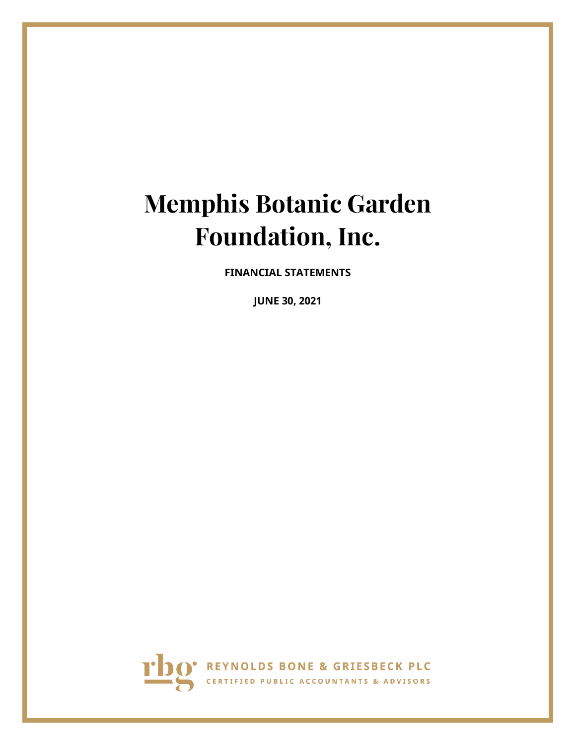# **Memphis Botanic Garden Foundation, Inc.**

**FINANCIAL STATEMENTS**

**JUNE 30, 2021**

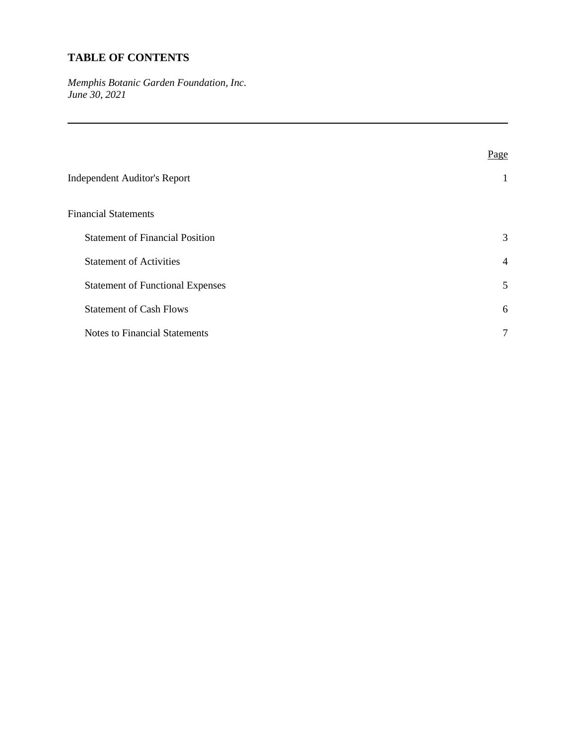# **TABLE OF CONTENTS**

*Memphis Botanic Garden Foundation, Inc. June 30, 2021*

|                                         | <u>Page</u>    |
|-----------------------------------------|----------------|
| <b>Independent Auditor's Report</b>     | 1              |
| <b>Financial Statements</b>             |                |
| <b>Statement of Financial Position</b>  | 3              |
| <b>Statement of Activities</b>          | $\overline{4}$ |
| <b>Statement of Functional Expenses</b> | 5              |
| <b>Statement of Cash Flows</b>          | 6              |
| <b>Notes to Financial Statements</b>    | $\tau$         |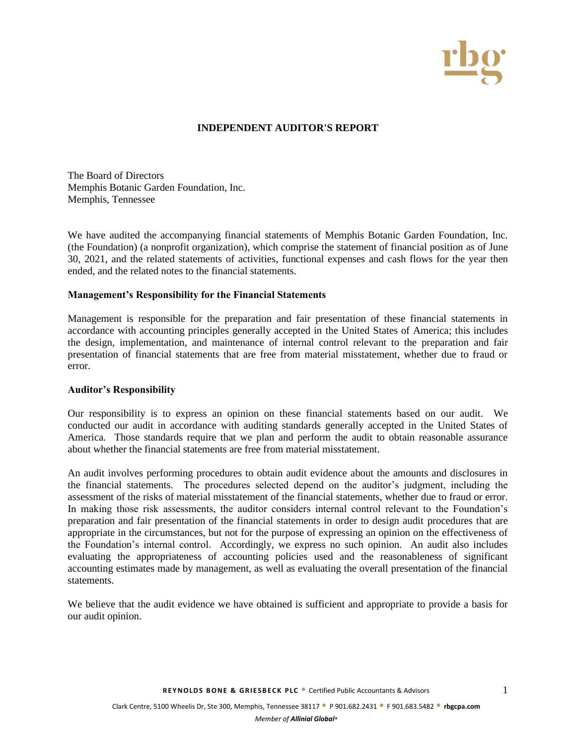

#### **INDEPENDENT AUDITOR'S REPORT**

The Board of Directors Memphis Botanic Garden Foundation, Inc. Memphis, Tennessee

We have audited the accompanying financial statements of Memphis Botanic Garden Foundation, Inc. (the Foundation) (a nonprofit organization), which comprise the statement of financial position as of June 30, 2021, and the related statements of activities, functional expenses and cash flows for the year then ended, and the related notes to the financial statements.

#### **Management's Responsibility for the Financial Statements**

Management is responsible for the preparation and fair presentation of these financial statements in accordance with accounting principles generally accepted in the United States of America; this includes the design, implementation, and maintenance of internal control relevant to the preparation and fair presentation of financial statements that are free from material misstatement, whether due to fraud or error.

#### **Auditor's Responsibility**

Our responsibility is to express an opinion on these financial statements based on our audit. We conducted our audit in accordance with auditing standards generally accepted in the United States of America. Those standards require that we plan and perform the audit to obtain reasonable assurance about whether the financial statements are free from material misstatement.

An audit involves performing procedures to obtain audit evidence about the amounts and disclosures in the financial statements. The procedures selected depend on the auditor's judgment, including the assessment of the risks of material misstatement of the financial statements, whether due to fraud or error. In making those risk assessments, the auditor considers internal control relevant to the Foundation's preparation and fair presentation of the financial statements in order to design audit procedures that are appropriate in the circumstances, but not for the purpose of expressing an opinion on the effectiveness of the Foundation's internal control. Accordingly, we express no such opinion. An audit also includes evaluating the appropriateness of accounting policies used and the reasonableness of significant accounting estimates made by management, as well as evaluating the overall presentation of the financial statements.

We believe that the audit evidence we have obtained is sufficient and appropriate to provide a basis for our audit opinion.

Clark Centre, 5100 Wheelis Dr, Ste 300, Memphis, Tennessee 38117 • P 901.682.2431 • F 901.683.5482 • **rbgcpa.com**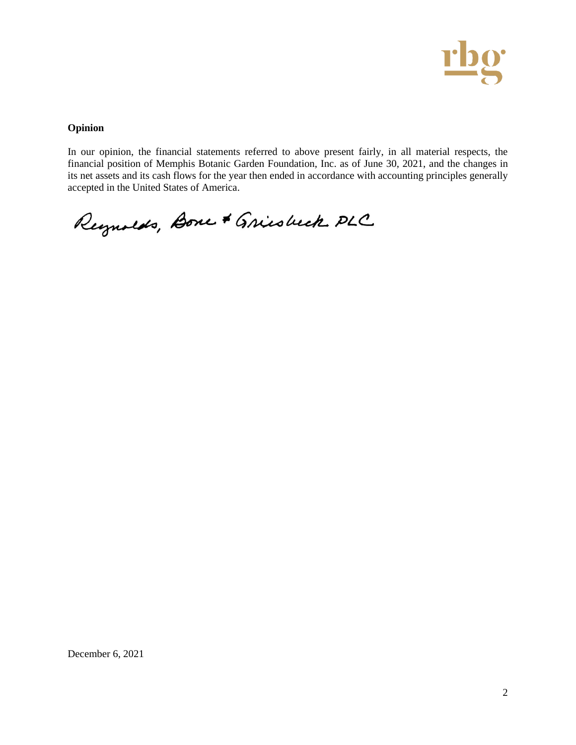

#### **Opinion**

In our opinion, the financial statements referred to above present fairly, in all material respects, the financial position of Memphis Botanic Garden Foundation, Inc. as of June 30, 2021, and the changes in its net assets and its cash flows for the year then ended in accordance with accounting principles generally accepted in the United States of America.

Regnalds, Bone & Grisbeck PLC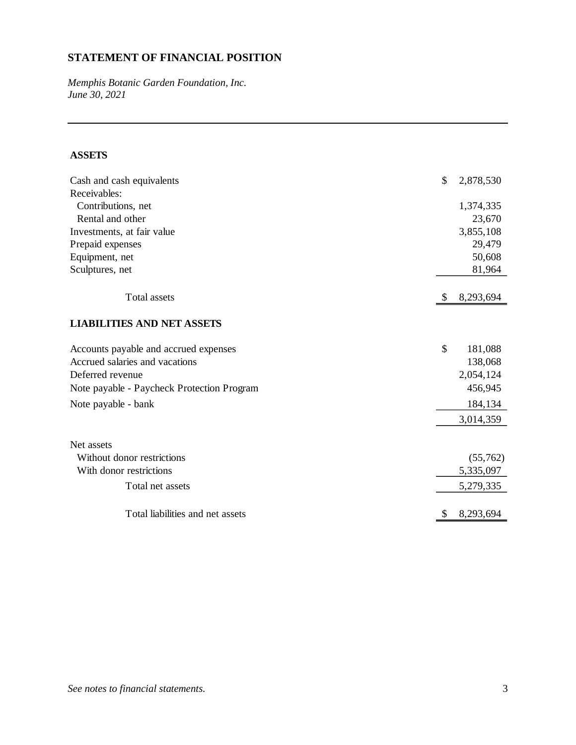# **STATEMENT OF FINANCIAL POSITION**

*Memphis Botanic Garden Foundation, Inc. June 30, 2021*

# **ASSETS**

| Cash and cash equivalents                  | \$<br>2,878,530 |
|--------------------------------------------|-----------------|
| Receivables:                               |                 |
| Contributions, net                         | 1,374,335       |
| Rental and other                           | 23,670          |
| Investments, at fair value                 | 3,855,108       |
| Prepaid expenses                           | 29,479          |
| Equipment, net                             | 50,608          |
| Sculptures, net                            | 81,964          |
| <b>Total</b> assets                        | \$<br>8,293,694 |
| <b>LIABILITIES AND NET ASSETS</b>          |                 |
| Accounts payable and accrued expenses      | \$<br>181,088   |
| Accrued salaries and vacations             | 138,068         |
| Deferred revenue                           | 2,054,124       |
| Note payable - Paycheck Protection Program | 456,945         |
| Note payable - bank                        | 184,134         |
|                                            | 3,014,359       |
| Net assets                                 |                 |
| Without donor restrictions                 | (55,762)        |
| With donor restrictions                    | 5,335,097       |
|                                            |                 |
| Total net assets                           | 5,279,335       |
| Total liabilities and net assets           | \$<br>8,293,694 |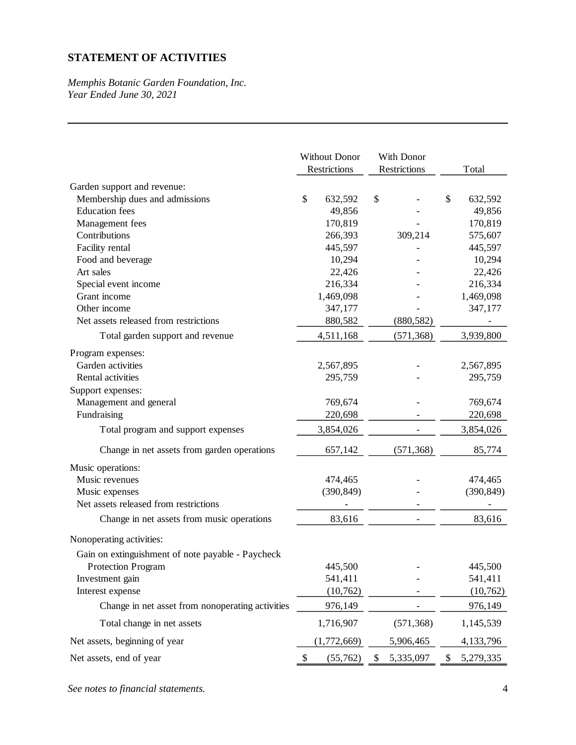# **STATEMENT OF ACTIVITIES**

*Memphis Botanic Garden Foundation, Inc. Year Ended June 30, 2021*

|                                                         | <b>Without Donor</b><br>Restrictions  | With Donor<br>Restrictions | Total           |
|---------------------------------------------------------|---------------------------------------|----------------------------|-----------------|
| Garden support and revenue:                             |                                       |                            |                 |
| Membership dues and admissions                          | \$<br>632,592                         | \$                         | \$<br>632,592   |
| <b>Education</b> fees                                   | 49,856                                |                            | 49,856          |
| Management fees                                         | 170,819                               |                            | 170,819         |
| Contributions                                           | 266,393                               | 309,214                    | 575,607         |
| Facility rental                                         | 445,597                               |                            | 445,597         |
| Food and beverage                                       | 10,294                                |                            | 10,294          |
| Art sales                                               | 22,426                                |                            | 22,426          |
| Special event income                                    | 216,334                               |                            | 216,334         |
| Grant income                                            | 1,469,098                             |                            | 1,469,098       |
| Other income                                            | 347,177                               |                            | 347,177         |
| Net assets released from restrictions                   | 880,582                               | (880, 582)                 |                 |
| Total garden support and revenue                        | 4,511,168                             | (571, 368)                 | 3,939,800       |
| Program expenses:                                       |                                       |                            |                 |
| Garden activities                                       | 2,567,895                             |                            | 2,567,895       |
| Rental activities                                       | 295,759                               |                            | 295,759         |
| Support expenses:                                       |                                       |                            |                 |
| Management and general                                  | 769,674                               |                            | 769,674         |
| Fundraising                                             | 220,698                               |                            | 220,698         |
| Total program and support expenses                      | 3,854,026                             |                            | 3,854,026       |
| Change in net assets from garden operations             | 657,142                               | (571, 368)                 | 85,774          |
|                                                         |                                       |                            |                 |
| Music operations:                                       |                                       |                            |                 |
| Music revenues                                          | 474,465                               |                            | 474,465         |
| Music expenses<br>Net assets released from restrictions | (390, 849)                            |                            | (390, 849)      |
|                                                         |                                       |                            |                 |
| Change in net assets from music operations              | 83,616                                |                            | 83,616          |
| Nonoperating activities:                                |                                       |                            |                 |
| Gain on extinguishment of note payable - Paycheck       |                                       |                            |                 |
| <b>Protection Program</b>                               | 445,500                               |                            | 445,500         |
| Investment gain                                         | 541,411                               |                            | 541,411         |
| Interest expense                                        | (10, 762)                             |                            | (10, 762)       |
| Change in net asset from nonoperating activities        | 976,149                               |                            | 976,149         |
| Total change in net assets                              | 1,716,907                             | (571, 368)                 | 1,145,539       |
| Net assets, beginning of year                           | (1,772,669)                           | 5,906,465                  | 4,133,796       |
| Net assets, end of year                                 | (55,762)<br>$\boldsymbol{\mathsf{S}}$ | \$<br>5,335,097            | \$<br>5,279,335 |

*See notes to financial statements.* 4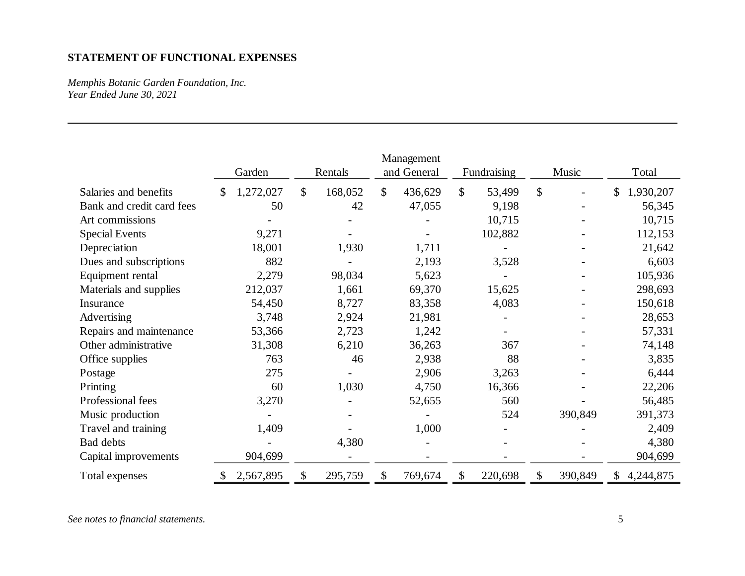# **STATEMENT OF FUNCTIONAL EXPENSES**

*Memphis Botanic Garden Foundation, Inc. Year Ended June 30, 2021*

|                           | Garden          | Rentals       | Management<br>and General | Fundraising   | Music         | Total           |
|---------------------------|-----------------|---------------|---------------------------|---------------|---------------|-----------------|
| Salaries and benefits     | \$<br>1,272,027 | \$<br>168,052 | \$<br>436,629             | \$<br>53,499  | \$            | \$<br>1,930,207 |
| Bank and credit card fees | 50              | 42            | 47,055                    | 9,198         |               | 56,345          |
| Art commissions           |                 |               |                           | 10,715        |               | 10,715          |
| <b>Special Events</b>     | 9,271           |               |                           | 102,882       |               | 112,153         |
| Depreciation              | 18,001          | 1,930         | 1,711                     |               |               | 21,642          |
| Dues and subscriptions    | 882             |               | 2,193                     | 3,528         |               | 6,603           |
| Equipment rental          | 2,279           | 98,034        | 5,623                     |               |               | 105,936         |
| Materials and supplies    | 212,037         | 1,661         | 69,370                    | 15,625        |               | 298,693         |
| Insurance                 | 54,450          | 8,727         | 83,358                    | 4,083         |               | 150,618         |
| Advertising               | 3,748           | 2,924         | 21,981                    |               |               | 28,653          |
| Repairs and maintenance   | 53,366          | 2,723         | 1,242                     |               |               | 57,331          |
| Other administrative      | 31,308          | 6,210         | 36,263                    | 367           |               | 74,148          |
| Office supplies           | 763             | 46            | 2,938                     | 88            |               | 3,835           |
| Postage                   | 275             |               | 2,906                     | 3,263         |               | 6,444           |
| Printing                  | 60              | 1,030         | 4,750                     | 16,366        |               | 22,206          |
| Professional fees         | 3,270           |               | 52,655                    | 560           |               | 56,485          |
| Music production          |                 |               |                           | 524           | 390,849       | 391,373         |
| Travel and training       | 1,409           |               | 1,000                     |               |               | 2,409           |
| <b>Bad debts</b>          |                 | 4,380         |                           |               |               | 4,380           |
| Capital improvements      | 904,699         |               |                           |               |               | 904,699         |
| Total expenses            | \$<br>2,567,895 | \$<br>295,759 | \$<br>769,674             | \$<br>220,698 | \$<br>390,849 | \$<br>4,244,875 |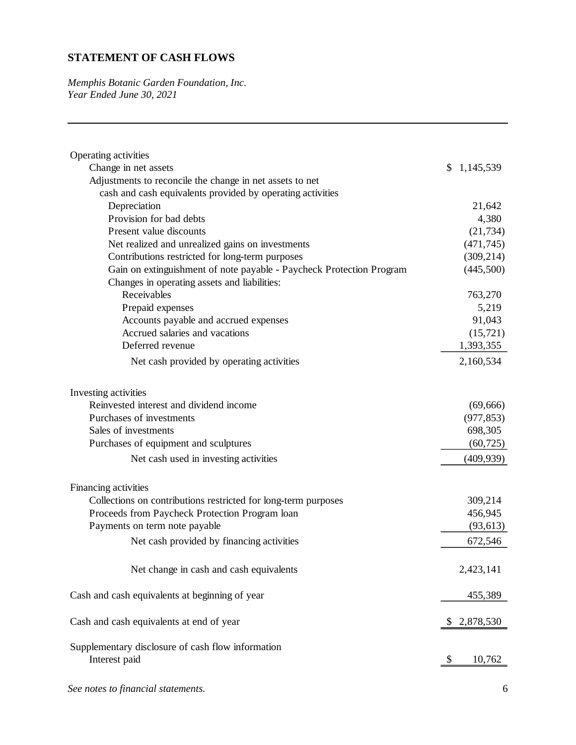# **STATEMENT OF CASH FLOWS**

*Memphis Botanic Garden Foundation, Inc. Year Ended June 30, 2021*

| Operating activities                                                 |                 |
|----------------------------------------------------------------------|-----------------|
| Change in net assets                                                 | \$<br>1,145,539 |
| Adjustments to reconcile the change in net assets to net             |                 |
| cash and cash equivalents provided by operating activities           |                 |
| Depreciation                                                         | 21,642          |
| Provision for bad debts                                              | 4,380           |
| Present value discounts                                              | (21, 734)       |
| Net realized and unrealized gains on investments                     | (471, 745)      |
| Contributions restricted for long-term purposes                      | (309, 214)      |
| Gain on extinguishment of note payable - Paycheck Protection Program | (445,500)       |
| Changes in operating assets and liabilities:                         |                 |
| Receivables                                                          | 763,270         |
| Prepaid expenses                                                     | 5,219           |
| Accounts payable and accrued expenses                                | 91,043          |
| Accrued salaries and vacations                                       | (15, 721)       |
| Deferred revenue                                                     | 1,393,355       |
| Net cash provided by operating activities                            | 2,160,534       |
| Investing activities                                                 |                 |
| Reinvested interest and dividend income                              | (69, 666)       |
| Purchases of investments                                             | (977, 853)      |
| Sales of investments                                                 | 698,305         |
| Purchases of equipment and sculptures                                | (60, 725)       |
| Net cash used in investing activities                                | (409, 939)      |
| Financing activities                                                 |                 |
| Collections on contributions restricted for long-term purposes       | 309,214         |
| Proceeds from Paycheck Protection Program loan                       | 456,945         |
| Payments on term note payable                                        | (93, 613)       |
| Net cash provided by financing activities                            | 672,546         |
| Net change in cash and cash equivalents                              | 2,423,141       |
| Cash and cash equivalents at beginning of year                       | 455,389         |
| Cash and cash equivalents at end of year                             | 2,878,530       |
| Supplementary disclosure of cash flow information<br>Interest paid   | 10,762          |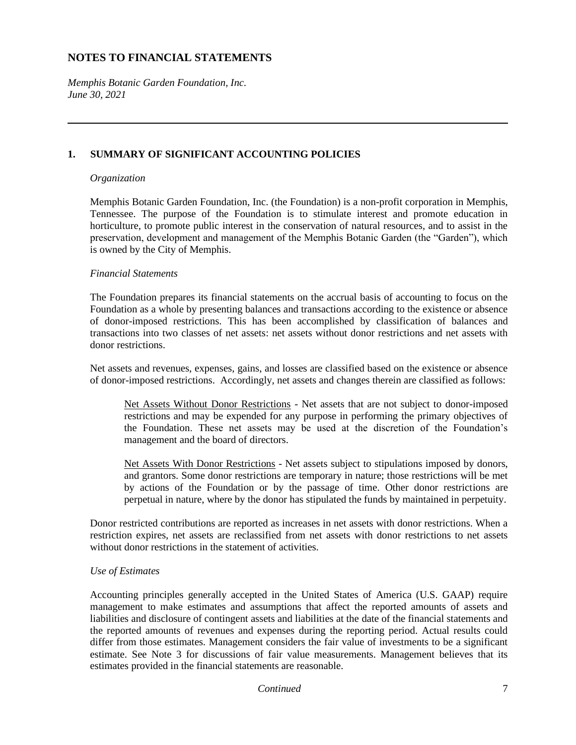*Memphis Botanic Garden Foundation, Inc. June 30, 2021*

#### **1. SUMMARY OF SIGNIFICANT ACCOUNTING POLICIES**

#### *Organization*

Memphis Botanic Garden Foundation, Inc. (the Foundation) is a non-profit corporation in Memphis, Tennessee. The purpose of the Foundation is to stimulate interest and promote education in horticulture, to promote public interest in the conservation of natural resources, and to assist in the preservation, development and management of the Memphis Botanic Garden (the "Garden"), which is owned by the City of Memphis.

#### *Financial Statements*

The Foundation prepares its financial statements on the accrual basis of accounting to focus on the Foundation as a whole by presenting balances and transactions according to the existence or absence of donor-imposed restrictions. This has been accomplished by classification of balances and transactions into two classes of net assets: net assets without donor restrictions and net assets with donor restrictions.

Net assets and revenues, expenses, gains, and losses are classified based on the existence or absence of donor-imposed restrictions. Accordingly, net assets and changes therein are classified as follows:

Net Assets Without Donor Restrictions - Net assets that are not subject to donor-imposed restrictions and may be expended for any purpose in performing the primary objectives of the Foundation. These net assets may be used at the discretion of the Foundation's management and the board of directors.

Net Assets With Donor Restrictions - Net assets subject to stipulations imposed by donors, and grantors. Some donor restrictions are temporary in nature; those restrictions will be met by actions of the Foundation or by the passage of time. Other donor restrictions are perpetual in nature, where by the donor has stipulated the funds by maintained in perpetuity.

Donor restricted contributions are reported as increases in net assets with donor restrictions. When a restriction expires, net assets are reclassified from net assets with donor restrictions to net assets without donor restrictions in the statement of activities.

#### *Use of Estimates*

Accounting principles generally accepted in the United States of America (U.S. GAAP) require management to make estimates and assumptions that affect the reported amounts of assets and liabilities and disclosure of contingent assets and liabilities at the date of the financial statements and the reported amounts of revenues and expenses during the reporting period. Actual results could differ from those estimates. Management considers the fair value of investments to be a significant estimate. See Note 3 for discussions of fair value measurements. Management believes that its estimates provided in the financial statements are reasonable.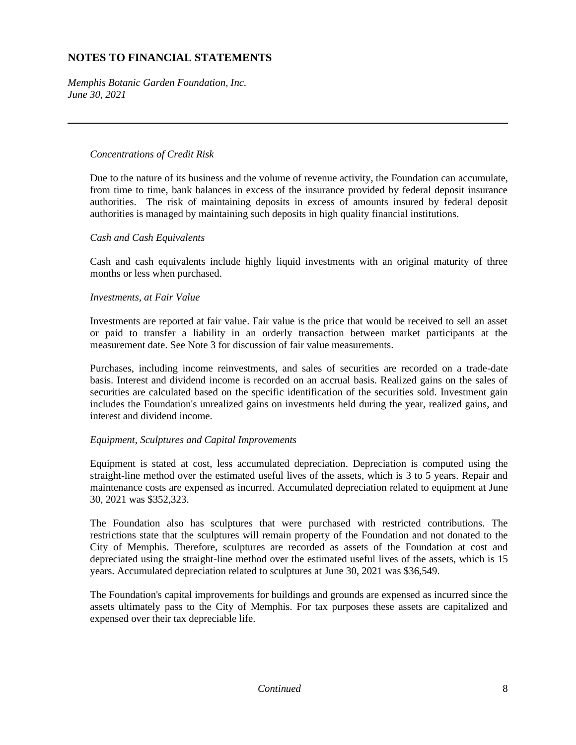*Memphis Botanic Garden Foundation, Inc. June 30, 2021*

#### *Concentrations of Credit Risk*

Due to the nature of its business and the volume of revenue activity, the Foundation can accumulate, from time to time, bank balances in excess of the insurance provided by federal deposit insurance authorities. The risk of maintaining deposits in excess of amounts insured by federal deposit authorities is managed by maintaining such deposits in high quality financial institutions.

#### *Cash and Cash Equivalents*

Cash and cash equivalents include highly liquid investments with an original maturity of three months or less when purchased.

#### *Investments, at Fair Value*

Investments are reported at fair value. Fair value is the price that would be received to sell an asset or paid to transfer a liability in an orderly transaction between market participants at the measurement date. See Note 3 for discussion of fair value measurements.

Purchases, including income reinvestments, and sales of securities are recorded on a trade-date basis. Interest and dividend income is recorded on an accrual basis. Realized gains on the sales of securities are calculated based on the specific identification of the securities sold. Investment gain includes the Foundation's unrealized gains on investments held during the year, realized gains, and interest and dividend income.

#### *Equipment, Sculptures and Capital Improvements*

Equipment is stated at cost, less accumulated depreciation. Depreciation is computed using the straight-line method over the estimated useful lives of the assets, which is 3 to 5 years. Repair and maintenance costs are expensed as incurred. Accumulated depreciation related to equipment at June 30, 2021 was \$352,323.

The Foundation also has sculptures that were purchased with restricted contributions. The restrictions state that the sculptures will remain property of the Foundation and not donated to the City of Memphis. Therefore, sculptures are recorded as assets of the Foundation at cost and depreciated using the straight-line method over the estimated useful lives of the assets, which is 15 years. Accumulated depreciation related to sculptures at June 30, 2021 was \$36,549.

The Foundation's capital improvements for buildings and grounds are expensed as incurred since the assets ultimately pass to the City of Memphis. For tax purposes these assets are capitalized and expensed over their tax depreciable life.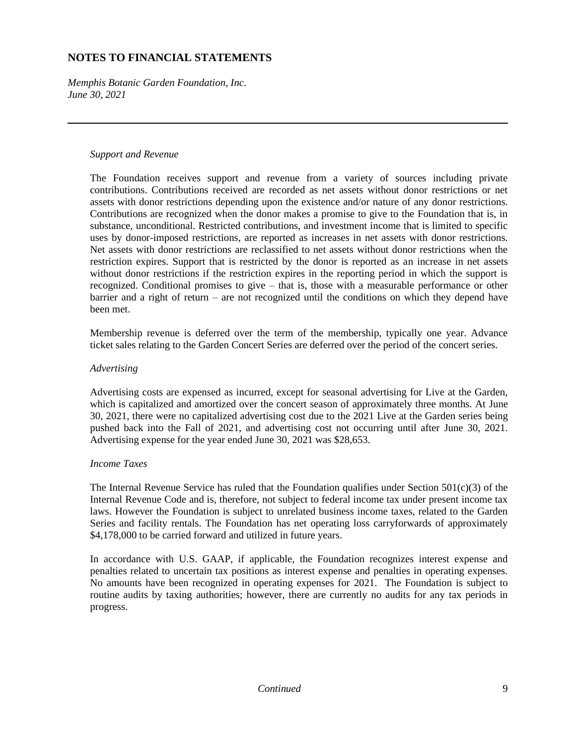*Memphis Botanic Garden Foundation, Inc. June 30, 2021*

#### *Support and Revenue*

The Foundation receives support and revenue from a variety of sources including private contributions. Contributions received are recorded as net assets without donor restrictions or net assets with donor restrictions depending upon the existence and/or nature of any donor restrictions. Contributions are recognized when the donor makes a promise to give to the Foundation that is, in substance, unconditional. Restricted contributions, and investment income that is limited to specific uses by donor-imposed restrictions, are reported as increases in net assets with donor restrictions. Net assets with donor restrictions are reclassified to net assets without donor restrictions when the restriction expires. Support that is restricted by the donor is reported as an increase in net assets without donor restrictions if the restriction expires in the reporting period in which the support is recognized. Conditional promises to give – that is, those with a measurable performance or other barrier and a right of return – are not recognized until the conditions on which they depend have been met.

Membership revenue is deferred over the term of the membership, typically one year. Advance ticket sales relating to the Garden Concert Series are deferred over the period of the concert series.

#### *Advertising*

Advertising costs are expensed as incurred, except for seasonal advertising for Live at the Garden, which is capitalized and amortized over the concert season of approximately three months. At June 30, 2021, there were no capitalized advertising cost due to the 2021 Live at the Garden series being pushed back into the Fall of 2021, and advertising cost not occurring until after June 30, 2021. Advertising expense for the year ended June 30, 2021 was \$28,653.

#### *Income Taxes*

The Internal Revenue Service has ruled that the Foundation qualifies under Section  $501(c)(3)$  of the Internal Revenue Code and is, therefore, not subject to federal income tax under present income tax laws. However the Foundation is subject to unrelated business income taxes, related to the Garden Series and facility rentals. The Foundation has net operating loss carryforwards of approximately \$4,178,000 to be carried forward and utilized in future years.

In accordance with U.S. GAAP, if applicable, the Foundation recognizes interest expense and penalties related to uncertain tax positions as interest expense and penalties in operating expenses. No amounts have been recognized in operating expenses for 2021. The Foundation is subject to routine audits by taxing authorities; however, there are currently no audits for any tax periods in progress.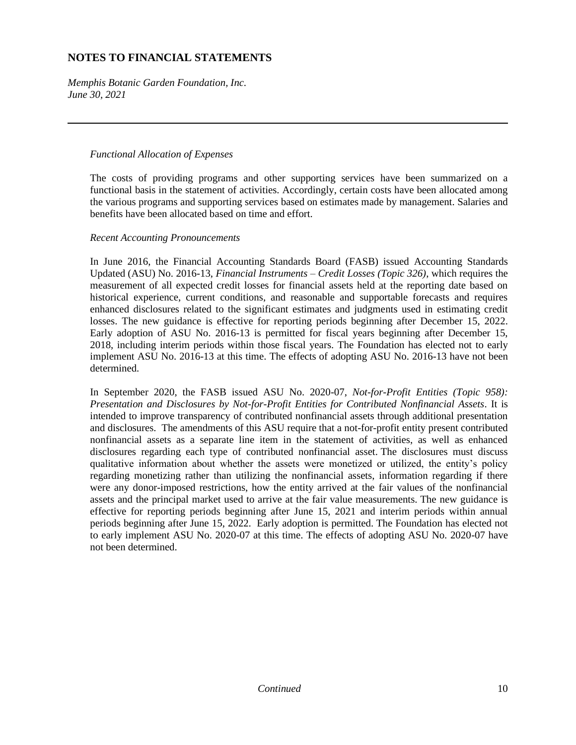*Memphis Botanic Garden Foundation, Inc. June 30, 2021*

#### *Functional Allocation of Expenses*

The costs of providing programs and other supporting services have been summarized on a functional basis in the statement of activities. Accordingly, certain costs have been allocated among the various programs and supporting services based on estimates made by management. Salaries and benefits have been allocated based on time and effort.

#### *Recent Accounting Pronouncements*

In June 2016, the Financial Accounting Standards Board (FASB) issued Accounting Standards Updated (ASU) No. 2016-13, *Financial Instruments – Credit Losses (Topic 326)*, which requires the measurement of all expected credit losses for financial assets held at the reporting date based on historical experience, current conditions, and reasonable and supportable forecasts and requires enhanced disclosures related to the significant estimates and judgments used in estimating credit losses. The new guidance is effective for reporting periods beginning after December 15, 2022. Early adoption of ASU No. 2016-13 is permitted for fiscal years beginning after December 15, 2018, including interim periods within those fiscal years. The Foundation has elected not to early implement ASU No. 2016-13 at this time. The effects of adopting ASU No. 2016-13 have not been determined.

In September 2020, the FASB issued ASU No. 2020-07, *Not-for-Profit Entities (Topic 958): Presentation and Disclosures by Not-for-Profit Entities for Contributed Nonfinancial Assets*. It is intended to improve transparency of contributed nonfinancial assets through additional presentation and disclosures. The amendments of this ASU require that a not-for-profit entity present contributed nonfinancial assets as a separate line item in the statement of activities, as well as enhanced disclosures regarding each type of contributed nonfinancial asset. The disclosures must discuss qualitative information about whether the assets were monetized or utilized, the entity's policy regarding monetizing rather than utilizing the nonfinancial assets, information regarding if there were any donor-imposed restrictions, how the entity arrived at the fair values of the nonfinancial assets and the principal market used to arrive at the fair value measurements. The new guidance is effective for reporting periods beginning after June 15, 2021 and interim periods within annual periods beginning after June 15, 2022. Early adoption is permitted. The Foundation has elected not to early implement ASU No. 2020-07 at this time. The effects of adopting ASU No. 2020-07 have not been determined.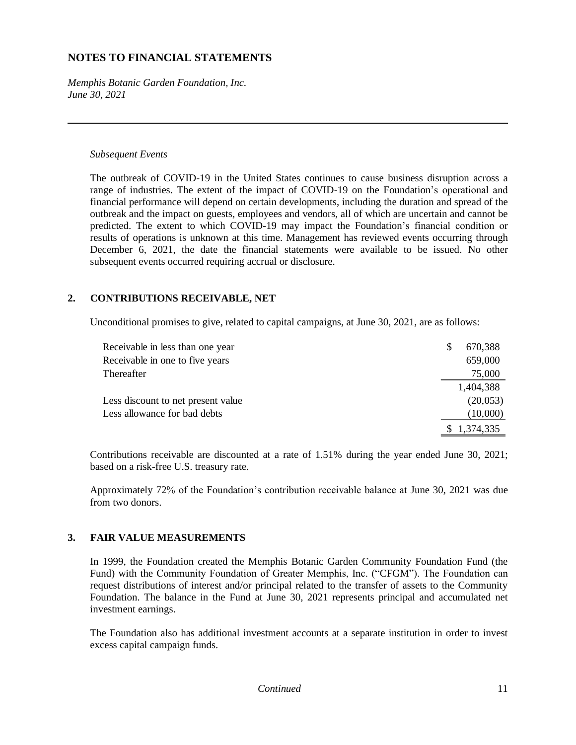*Memphis Botanic Garden Foundation, Inc. June 30, 2021*

#### *Subsequent Events*

The outbreak of COVID-19 in the United States continues to cause business disruption across a range of industries. The extent of the impact of COVID-19 on the Foundation's operational and financial performance will depend on certain developments, including the duration and spread of the outbreak and the impact on guests, employees and vendors, all of which are uncertain and cannot be predicted. The extent to which COVID-19 may impact the Foundation's financial condition or results of operations is unknown at this time. Management has reviewed events occurring through December 6, 2021, the date the financial statements were available to be issued. No other subsequent events occurred requiring accrual or disclosure.

#### **2. CONTRIBUTIONS RECEIVABLE, NET**

Unconditional promises to give, related to capital campaigns, at June 30, 2021, are as follows:

| Receivable in less than one year   | S | 670,388   |
|------------------------------------|---|-----------|
| Receivable in one to five years    |   | 659,000   |
| Thereafter                         |   | 75,000    |
|                                    |   | 1,404,388 |
| Less discount to net present value |   | (20,053)  |
| Less allowance for bad debts       |   | (10,000)  |
|                                    |   | 1,374,335 |

Contributions receivable are discounted at a rate of 1.51% during the year ended June 30, 2021; based on a risk-free U.S. treasury rate.

Approximately 72% of the Foundation's contribution receivable balance at June 30, 2021 was due from two donors.

## **3. FAIR VALUE MEASUREMENTS**

In 1999, the Foundation created the Memphis Botanic Garden Community Foundation Fund (the Fund) with the Community Foundation of Greater Memphis, Inc. ("CFGM"). The Foundation can request distributions of interest and/or principal related to the transfer of assets to the Community Foundation. The balance in the Fund at June 30, 2021 represents principal and accumulated net investment earnings.

The Foundation also has additional investment accounts at a separate institution in order to invest excess capital campaign funds.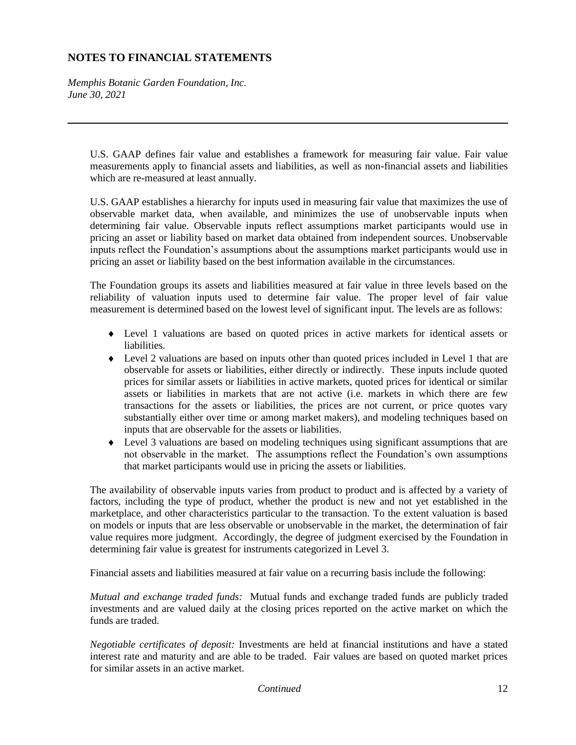*Memphis Botanic Garden Foundation, Inc. June 30, 2021*

> U.S. GAAP defines fair value and establishes a framework for measuring fair value. Fair value measurements apply to financial assets and liabilities, as well as non-financial assets and liabilities which are re-measured at least annually.

> U.S. GAAP establishes a hierarchy for inputs used in measuring fair value that maximizes the use of observable market data, when available, and minimizes the use of unobservable inputs when determining fair value. Observable inputs reflect assumptions market participants would use in pricing an asset or liability based on market data obtained from independent sources. Unobservable inputs reflect the Foundation's assumptions about the assumptions market participants would use in pricing an asset or liability based on the best information available in the circumstances.

> The Foundation groups its assets and liabilities measured at fair value in three levels based on the reliability of valuation inputs used to determine fair value. The proper level of fair value measurement is determined based on the lowest level of significant input. The levels are as follows:

- Level 1 valuations are based on quoted prices in active markets for identical assets or liabilities.
- Level 2 valuations are based on inputs other than quoted prices included in Level 1 that are observable for assets or liabilities, either directly or indirectly. These inputs include quoted prices for similar assets or liabilities in active markets, quoted prices for identical or similar assets or liabilities in markets that are not active (i.e. markets in which there are few transactions for the assets or liabilities, the prices are not current, or price quotes vary substantially either over time or among market makers), and modeling techniques based on inputs that are observable for the assets or liabilities.
- Level 3 valuations are based on modeling techniques using significant assumptions that are not observable in the market. The assumptions reflect the Foundation's own assumptions that market participants would use in pricing the assets or liabilities.

The availability of observable inputs varies from product to product and is affected by a variety of factors, including the type of product, whether the product is new and not yet established in the marketplace, and other characteristics particular to the transaction. To the extent valuation is based on models or inputs that are less observable or unobservable in the market, the determination of fair value requires more judgment. Accordingly, the degree of judgment exercised by the Foundation in determining fair value is greatest for instruments categorized in Level 3.

Financial assets and liabilities measured at fair value on a recurring basis include the following:

*Mutual and exchange traded funds:* Mutual funds and exchange traded funds are publicly traded investments and are valued daily at the closing prices reported on the active market on which the funds are traded.

*Negotiable certificates of deposit:* Investments are held at financial institutions and have a stated interest rate and maturity and are able to be traded. Fair values are based on quoted market prices for similar assets in an active market.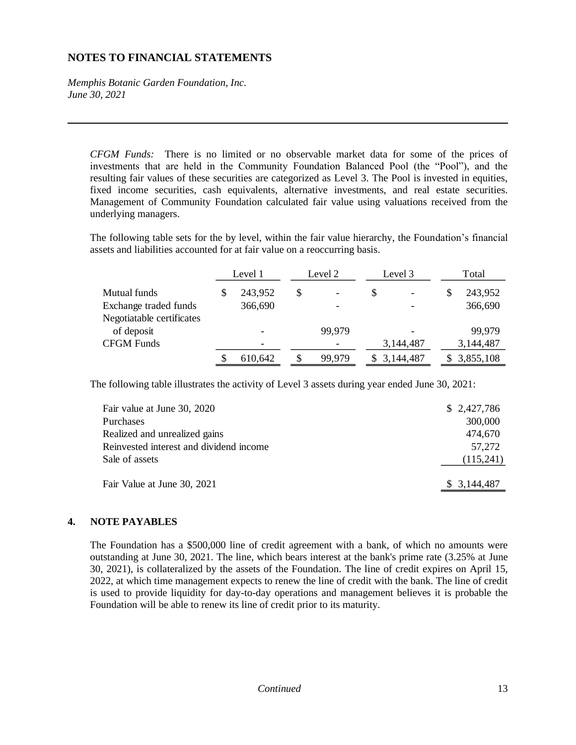*Memphis Botanic Garden Foundation, Inc. June 30, 2021*

> *CFGM Funds:* There is no limited or no observable market data for some of the prices of investments that are held in the Community Foundation Balanced Pool (the "Pool"), and the resulting fair values of these securities are categorized as Level 3. The Pool is invested in equities, fixed income securities, cash equivalents, alternative investments, and real estate securities. Management of Community Foundation calculated fair value using valuations received from the underlying managers.

> The following table sets for the by level, within the fair value hierarchy, the Foundation's financial assets and liabilities accounted for at fair value on a reoccurring basis.

|                           | Level 1 |         | Level 2 |    | Level 3   |   | Total     |  |
|---------------------------|---------|---------|---------|----|-----------|---|-----------|--|
| Mutual funds              |         | 243,952 | \$      | \$ |           | S | 243,952   |  |
| Exchange traded funds     |         | 366,690 |         |    |           |   | 366,690   |  |
| Negotiatable certificates |         |         |         |    |           |   |           |  |
| of deposit                |         |         | 99,979  |    |           |   | 99,979    |  |
| <b>CFGM Funds</b>         |         | -       |         |    | 3,144,487 |   | 3,144,487 |  |
|                           | S       | 610.642 | 99,979  |    | 3,144,487 |   | 3,855,108 |  |

The following table illustrates the activity of Level 3 assets during year ended June 30, 2021:

| Fair value at June 30, 2020             | \$2,427,786 |
|-----------------------------------------|-------------|
| Purchases                               | 300,000     |
| Realized and unrealized gains           | 474,670     |
| Reinvested interest and dividend income | 57,272      |
| Sale of assets                          | (115,241)   |
| Fair Value at June 30, 2021             | \$3,144,487 |

#### **4. NOTE PAYABLES**

The Foundation has a \$500,000 line of credit agreement with a bank, of which no amounts were outstanding at June 30, 2021. The line, which bears interest at the bank's prime rate (3.25% at June 30, 2021), is collateralized by the assets of the Foundation. The line of credit expires on April 15, 2022, at which time management expects to renew the line of credit with the bank. The line of credit is used to provide liquidity for day-to-day operations and management believes it is probable the Foundation will be able to renew its line of credit prior to its maturity.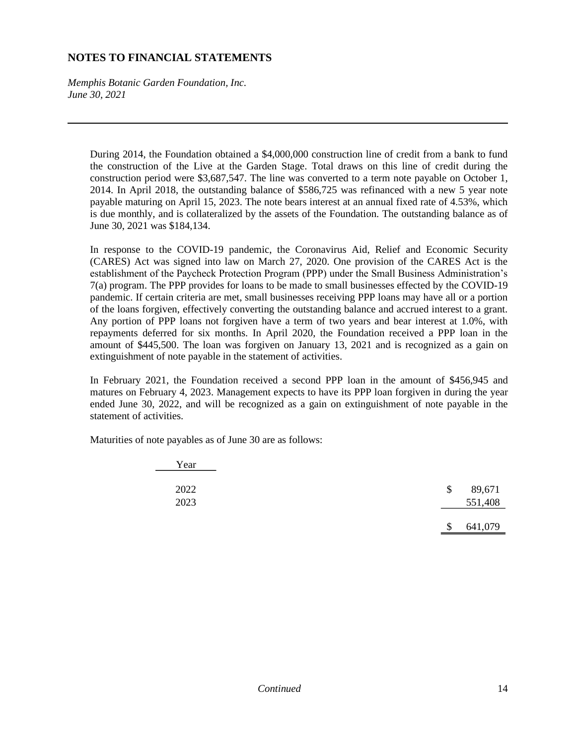*Memphis Botanic Garden Foundation, Inc. June 30, 2021*

> During 2014, the Foundation obtained a \$4,000,000 construction line of credit from a bank to fund the construction of the Live at the Garden Stage. Total draws on this line of credit during the construction period were \$3,687,547. The line was converted to a term note payable on October 1, 2014. In April 2018, the outstanding balance of \$586,725 was refinanced with a new 5 year note payable maturing on April 15, 2023. The note bears interest at an annual fixed rate of 4.53%, which is due monthly, and is collateralized by the assets of the Foundation. The outstanding balance as of June 30, 2021 was \$184,134.

> In response to the COVID-19 pandemic, the Coronavirus Aid, Relief and Economic Security (CARES) Act was signed into law on March 27, 2020. One provision of the CARES Act is the establishment of the Paycheck Protection Program (PPP) under the Small Business Administration's 7(a) program. The PPP provides for loans to be made to small businesses effected by the COVID-19 pandemic. If certain criteria are met, small businesses receiving PPP loans may have all or a portion of the loans forgiven, effectively converting the outstanding balance and accrued interest to a grant. Any portion of PPP loans not forgiven have a term of two years and bear interest at 1.0%, with repayments deferred for six months. In April 2020, the Foundation received a PPP loan in the amount of \$445,500. The loan was forgiven on January 13, 2021 and is recognized as a gain on extinguishment of note payable in the statement of activities.

> In February 2021, the Foundation received a second PPP loan in the amount of \$456,945 and matures on February 4, 2023. Management expects to have its PPP loan forgiven in during the year ended June 30, 2022, and will be recognized as a gain on extinguishment of note payable in the statement of activities.

Maturities of note payables as of June 30 are as follows:

| Year |    |         |
|------|----|---------|
| 2022 | \$ | 89,671  |
| 2023 |    | 551,408 |
|      |    |         |
|      | \$ | 641,079 |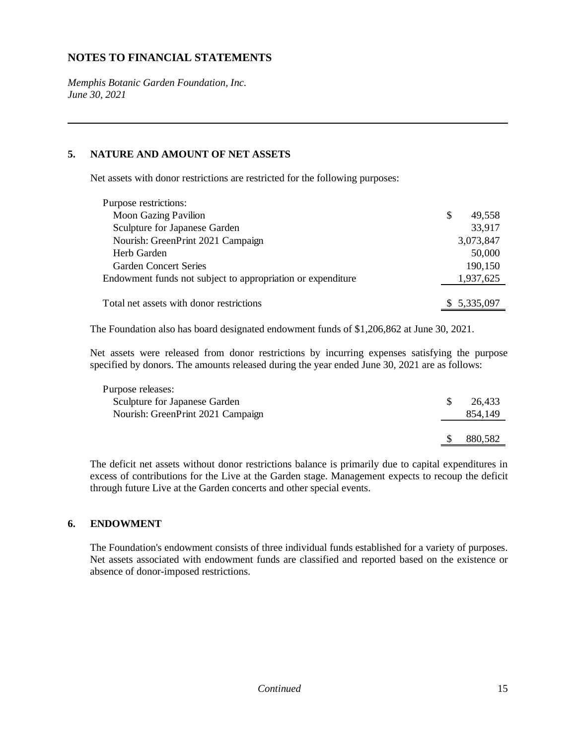*Memphis Botanic Garden Foundation, Inc. June 30, 2021*

## **5. NATURE AND AMOUNT OF NET ASSETS**

Net assets with donor restrictions are restricted for the following purposes:

| \$<br>49,558 |
|--------------|
| 33,917       |
| 3,073,847    |
| 50,000       |
| 190,150      |
| 1,937,625    |
|              |
| \$5,335,097  |
|              |

The Foundation also has board designated endowment funds of \$1,206,862 at June 30, 2021.

Net assets were released from donor restrictions by incurring expenses satisfying the purpose specified by donors. The amounts released during the year ended June 30, 2021 are as follows:

| Purpose releases:                 |         |
|-----------------------------------|---------|
| Sculpture for Japanese Garden     | 26.433  |
| Nourish: GreenPrint 2021 Campaign | 854.149 |
|                                   |         |
|                                   | 880.582 |

The deficit net assets without donor restrictions balance is primarily due to capital expenditures in excess of contributions for the Live at the Garden stage. Management expects to recoup the deficit through future Live at the Garden concerts and other special events.

## **6. ENDOWMENT**

The Foundation's endowment consists of three individual funds established for a variety of purposes. Net assets associated with endowment funds are classified and reported based on the existence or absence of donor-imposed restrictions.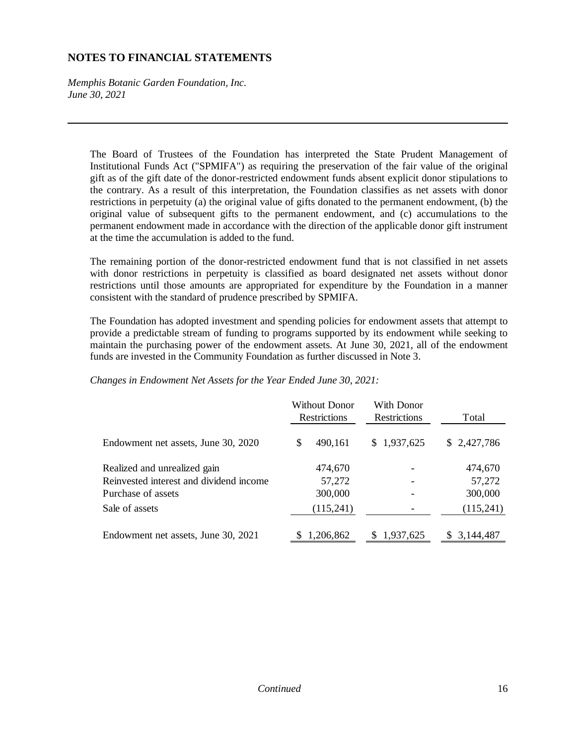*Memphis Botanic Garden Foundation, Inc. June 30, 2021*

> The Board of Trustees of the Foundation has interpreted the State Prudent Management of Institutional Funds Act ("SPMIFA") as requiring the preservation of the fair value of the original gift as of the gift date of the donor-restricted endowment funds absent explicit donor stipulations to the contrary. As a result of this interpretation, the Foundation classifies as net assets with donor restrictions in perpetuity (a) the original value of gifts donated to the permanent endowment, (b) the original value of subsequent gifts to the permanent endowment, and (c) accumulations to the permanent endowment made in accordance with the direction of the applicable donor gift instrument at the time the accumulation is added to the fund.

> The remaining portion of the donor-restricted endowment fund that is not classified in net assets with donor restrictions in perpetuity is classified as board designated net assets without donor restrictions until those amounts are appropriated for expenditure by the Foundation in a manner consistent with the standard of prudence prescribed by SPMIFA.

> The Foundation has adopted investment and spending policies for endowment assets that attempt to provide a predictable stream of funding to programs supported by its endowment while seeking to maintain the purchasing power of the endowment assets. At June 30, 2021, all of the endowment funds are invested in the Community Foundation as further discussed in Note 3.

*Changes in Endowment Net Assets for the Year Ended June 30, 2021:*

|                                         | Without Donor<br>Restrictions | With Donor<br>Restrictions | Total       |
|-----------------------------------------|-------------------------------|----------------------------|-------------|
| Endowment net assets, June 30, 2020     | 490,161<br>S                  | \$1,937,625                | \$2,427,786 |
| Realized and unrealized gain            | 474,670                       |                            | 474,670     |
| Reinvested interest and dividend income | 57,272                        |                            | 57,272      |
| Purchase of assets                      | 300,000                       |                            | 300,000     |
| Sale of assets                          | (115, 241)                    |                            | (115,241)   |
| Endowment net assets, June 30, 2021     | 1,206,862                     | 1,937,625                  | 3,144,487   |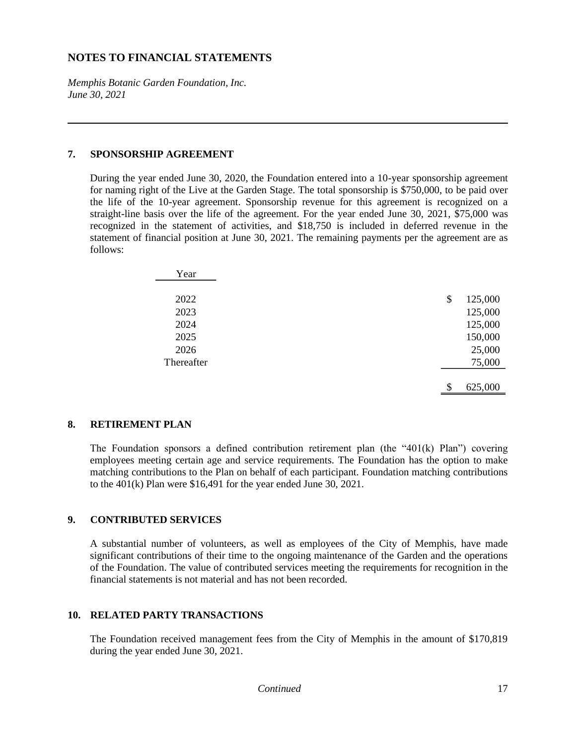*Memphis Botanic Garden Foundation, Inc. June 30, 2021*

#### **7. SPONSORSHIP AGREEMENT**

During the year ended June 30, 2020, the Foundation entered into a 10-year sponsorship agreement for naming right of the Live at the Garden Stage. The total sponsorship is \$750,000, to be paid over the life of the 10-year agreement. Sponsorship revenue for this agreement is recognized on a straight-line basis over the life of the agreement. For the year ended June 30, 2021, \$75,000 was recognized in the statement of activities, and \$18,750 is included in deferred revenue in the statement of financial position at June 30, 2021. The remaining payments per the agreement are as follows:

| Year       |               |
|------------|---------------|
| 2022       | 125,000<br>\$ |
| 2023       | 125,000       |
| 2024       | 125,000       |
| 2025       | 150,000       |
| 2026       | 25,000        |
| Thereafter | 75,000        |
|            |               |
|            | 625,000<br>\$ |

#### **8. RETIREMENT PLAN**

The Foundation sponsors a defined contribution retirement plan (the "401 $(k)$  Plan") covering employees meeting certain age and service requirements. The Foundation has the option to make matching contributions to the Plan on behalf of each participant. Foundation matching contributions to the 401(k) Plan were \$16,491 for the year ended June 30, 2021.

#### **9. CONTRIBUTED SERVICES**

A substantial number of volunteers, as well as employees of the City of Memphis, have made significant contributions of their time to the ongoing maintenance of the Garden and the operations of the Foundation. The value of contributed services meeting the requirements for recognition in the financial statements is not material and has not been recorded.

#### **10. RELATED PARTY TRANSACTIONS**

The Foundation received management fees from the City of Memphis in the amount of \$170,819 during the year ended June 30, 2021.